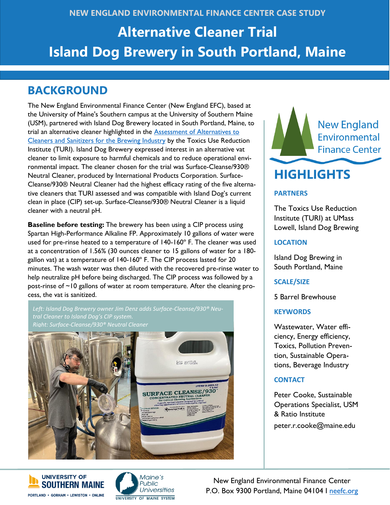## **NEW ENGLAND ENVIRONMENTAL FINANCE CENTER CASE STUDY**

# **Alternative Cleaner Trial Island Dog Brewery in South Portland, Maine**

## **BACKGROUND**

The New England Environmental Finance Center (New England EFC), based at the University of Maine's Southern campus at the University of Southern Maine (USM), partnered with Island Dog Brewery located in South Portland, Maine, to trial an alternative cleaner highlighted in the **Assessment of Alternatives to** [Cleaners and Sanitizers for the Brewing Industry](https://www.turi.org/content/download/13218/203462/file/TURI%20Report%202020-002.%20Assessment%20of%20Alternatives%20to%20Cleaners%20and%20Sanitizers%20for%20the%20Brewing%20Industry.July2020.pdf) by the Toxics Use Reduction Institute (TURI). Island Dog Brewery expressed interest in an alternative vat cleaner to limit exposure to harmful chemicals and to reduce operational environmental impact. The cleaner chosen for the trial was Surface-Cleanse/930® Neutral Cleaner, produced by International Products Corporation. Surface-Cleanse/930® Neutral Cleaner had the highest efficacy rating of the five alternative cleaners that TURI assessed and was compatible with Island Dog's current clean in place (CIP) set-up. Surface-Cleanse/930® Neutral Cleaner is a liquid cleaner with a neutral pH.

**Baseline before testing:** The brewery has been using a CIP process using Spartan High-Performance Alkaline FP. Approximately 10 gallons of water were used for pre-rinse heated to a temperature of 140-160º F. The cleaner was used at a concentration of 1.56% (30 ounces cleaner to 15 gallons of water for a 180 gallon vat) at a temperature of 140-160º F. The CIP process lasted for 20 minutes. The wash water was then diluted with the recovered pre-rinse water to help neutralize pH before being discharged. The CIP process was followed by a post-rinse of ~10 gallons of water at room temperature. After the cleaning process, the vat is sanitized.

*Left: Island Dog Brewery owner Jim Denz adds Surface-Cleanse/930® Neutral Cleaner to Island Dog's CIP system. Right: Surface-Cleanse/930® Neutral Cleaner*







New England Environmental Finance Center P.O. Box 9300 Portland, Maine 04104 I [neefc.org](https://neefc.org/)



#### **PARTNERS**

The Toxics Use Reduction Institute (TURI) at UMass Lowell, Island Dog Brewing

#### **LOCATION**

Island Dog Brewing in South Portland, Maine

**SCALE/SIZE**

5 Barrel Brewhouse

#### **KEYWORDS**

Wastewater, Water efficiency, Energy efficiency, Toxics, Pollution Prevention, Sustainable Operations, Beverage Industry

## **CONTACT**

Peter Cooke, Sustainable Operations Specialist, USM & Ratio Institute peter.r.cooke@maine.edu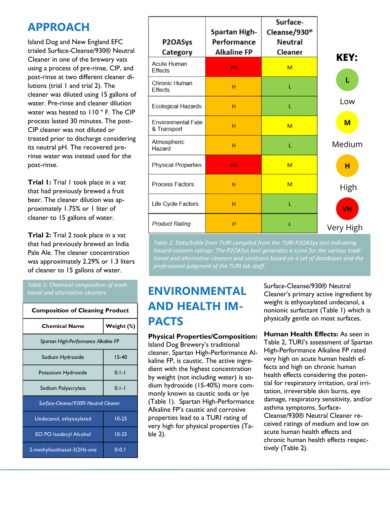## **APPROACH**

Island Dog and New England EFC trialed Surface-Cleanse/930® Neutral Cleaner in one of the brewery vats using a process of pre-rinse, CIP, and post-rinse at two different cleaner dilutions (trial 1 and trial 2). The cleaner was diluted using 15 gallons of water. Pre-rinse and cleaner dilution water was heated to 110 °F. The CIP process lasted 30 minutes. The post-CIP cleaner was not diluted or treated prior to discharge considering its neutral pH. The recovered prerinse water was instead used for the post-rinse.

**Trial 1:** Trial 1 took place in a vat that had previously brewed a fruit beer. The cleaner dilution was approximately 1.75% or 1 liter of cleaner to 15 gallons of water.

**Trial 2:** Trial 2 took place in a vat that had previously brewed an India Pale Ale. The cleaner concentration was approximately 2.29% or 1.3 liters of cleaner to 15 gallons of water.

| <b>Composition of Cleaning Product</b> |  |  |  |
|----------------------------------------|--|--|--|
| Weight (%)                             |  |  |  |
| Spartan High-Performance Alkaline FP   |  |  |  |
| $15-40$                                |  |  |  |
| $0.1 - 1$                              |  |  |  |
| $0.1 - 1$                              |  |  |  |
| Surface-Cleanse/930® Neutral Cleaner   |  |  |  |
| $10-25$                                |  |  |  |
| $10-25$                                |  |  |  |
| $0-0.1$                                |  |  |  |
|                                        |  |  |  |

| P2OASys<br>Category                      | Spartan High-<br>Performance<br><b>Alkaline FP</b> | Surface-<br>Cleanse/930 <sup>®</sup><br><b>Neutral</b><br>Cleaner |             |
|------------------------------------------|----------------------------------------------------|-------------------------------------------------------------------|-------------|
| <b>Acute Human</b>                       |                                                    |                                                                   | <b>KEY:</b> |
| <b>Effects</b>                           | <b>VH</b>                                          | M                                                                 |             |
| Chronic Human<br><b>Effects</b>          | H                                                  | L                                                                 | L           |
| <b>Ecological Hazards</b>                | н                                                  | L                                                                 | Low         |
| <b>Environmental Fate</b><br>& Transport | н                                                  | M                                                                 | $M$         |
| Atmospheric<br>Hazard                    | н                                                  | L                                                                 | Medium      |
| <b>Physical Properties</b>               | <b>VH</b>                                          | M                                                                 | н           |
| Process Factors                          | н                                                  | M                                                                 | High        |
| Life Cycle Factors                       | H                                                  | L                                                                 | VH          |
| <b>Product Rating</b>                    | H                                                  | L                                                                 | Very High   |

*Table 2: Data/table from TURI compiled from the TURI P2OASys tool indicating hazard concern ratings. The P2OASys tool generates a score for the various traditional and alternative cleaners and sanitizers based on a set of databases and the professional judgment of the TURI lab staff.*

# *tional and alternative cleaners.* **ENVIRONMENTAL AND HEALTH IM-PACTS**

**Physical Properties/Composition:** Island Dog Brewery's traditional cleaner, Spartan High-Performance Alkaline FP, is caustic. The active ingredient with the highest concentration by weight (not including water) is sodium hydroxide (15-40%) more commonly known as caustic soda or lye (Table 1). Spartan High-Performance Alkaline FP's caustic and corrosive properties lead to a TURI rating of very high for physical properties (Table 2).

Surface-Cleanse/930® Neutral Cleaner's primary active ingredient by weight is ethyoxylated undecanol, a nonionic surfactant (Table 1) which is physically gentle on most surfaces.

**Human Health Effects:** As seen in Table 2, TURI's assessment of Spartan High-Performance Alkaline FP rated very high on acute human health effects and high on chronic human health effects considering the potential for respiratory irritation, oral irritation, irreversible skin burns, eye damage, respiratory sensitivity, and/or asthma symptoms. Surface-Cleanse/930® Neutral Cleaner received ratings of medium and low on acute human health effects and chronic human health effects respectively (Table 2).